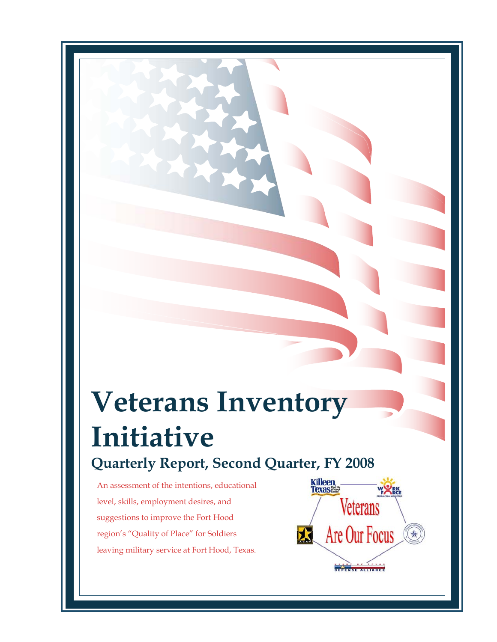# **Veterans Inventory Initiative Quarterly Report, Second Quarter, FY 2008**

An assessment of the intentions, educational level, skills, employment desires, and suggestions to improve the Fort Hood region's "Quality of Place" for Soldiers leaving military service at Fort Hood, Texas.

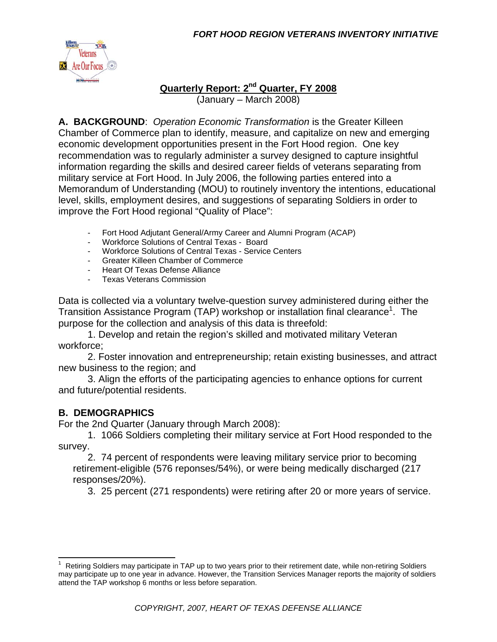

#### **Quarterly Report: 2nd Quarter, FY 2008** (January – March 2008)

**A. BACKGROUND**: *Operation Economic Transformation* is the Greater Killeen Chamber of Commerce plan to identify, measure, and capitalize on new and emerging economic development opportunities present in the Fort Hood region. One key recommendation was to regularly administer a survey designed to capture insightful information regarding the skills and desired career fields of veterans separating from military service at Fort Hood. In July 2006, the following parties entered into a Memorandum of Understanding (MOU) to routinely inventory the intentions, educational level, skills, employment desires, and suggestions of separating Soldiers in order to improve the Fort Hood regional "Quality of Place":

- Fort Hood Adjutant General/Army Career and Alumni Program (ACAP)
- Workforce Solutions of Central Texas Board
- Workforce Solutions of Central Texas Service Centers
- Greater Killeen Chamber of Commerce
- Heart Of Texas Defense Alliance
- Texas Veterans Commission

Data is collected via a voluntary twelve-question survey administered during either the Transition Assistance Program (TAP) workshop or installation final clearance<sup>1</sup>. The purpose for the collection and analysis of this data is threefold:

 1. Develop and retain the region's skilled and motivated military Veteran workforce;

 2. Foster innovation and entrepreneurship; retain existing businesses, and attract new business to the region; and

 3. Align the efforts of the participating agencies to enhance options for current and future/potential residents.

# **B. DEMOGRAPHICS**

For the 2nd Quarter (January through March 2008):

 1. 1066 Soldiers completing their military service at Fort Hood responded to the survey.

 2. 74 percent of respondents were leaving military service prior to becoming retirement-eligible (576 reponses/54%), or were being medically discharged (217 responses/20%).

3. 25 percent (271 respondents) were retiring after 20 or more years of service.

<sup>&</sup>lt;sup>1</sup> Retiring Soldiers may participate in TAP up to two years prior to their retirement date, while non-retiring Soldiers may participate up to one year in advance. However, the Transition Services Manager reports the majority of soldiers attend the TAP workshop 6 months or less before separation.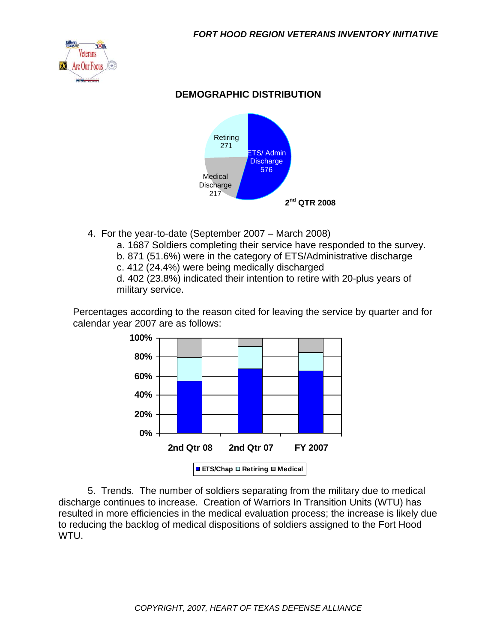

## **DEMOGRAPHIC DISTRIBUTION**



- 4. For the year-to-date (September 2007 March 2008)
	- a. 1687 Soldiers completing their service have responded to the survey.
	- b. 871 (51.6%) were in the category of ETS/Administrative discharge
	- c. 412 (24.4%) were being medically discharged

d. 402 (23.8%) indicated their intention to retire with 20-plus years of military service.

Percentages according to the reason cited for leaving the service by quarter and for calendar year 2007 are as follows:



 5. Trends. The number of soldiers separating from the military due to medical discharge continues to increase. Creation of Warriors In Transition Units (WTU) has resulted in more efficiencies in the medical evaluation process; the increase is likely due to reducing the backlog of medical dispositions of soldiers assigned to the Fort Hood WTU.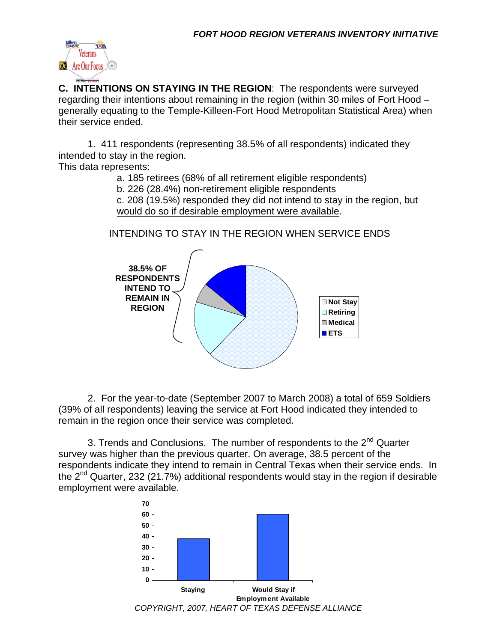

**C. INTENTIONS ON STAYING IN THE REGION**: The respondents were surveyed regarding their intentions about remaining in the region (within 30 miles of Fort Hood – generally equating to the Temple-Killeen-Fort Hood Metropolitan Statistical Area) when their service ended.

 1. 411 respondents (representing 38.5% of all respondents) indicated they intended to stay in the region.

This data represents:

a. 185 retirees (68% of all retirement eligible respondents)

b. 226 (28.4%) non-retirement eligible respondents

c. 208 (19.5%) responded they did not intend to stay in the region, but would do so if desirable employment were available.

INTENDING TO STAY IN THE REGION WHEN SERVICE ENDS



 2. For the year-to-date (September 2007 to March 2008) a total of 659 Soldiers (39% of all respondents) leaving the service at Fort Hood indicated they intended to remain in the region once their service was completed.

3. Trends and Conclusions. The number of respondents to the  $2^{nd}$  Quarter survey was higher than the previous quarter. On average, 38.5 percent of the respondents indicate they intend to remain in Central Texas when their service ends. In the  $2^{nd}$  Quarter, 232 (21.7%) additional respondents would stay in the region if desirable employment were available.

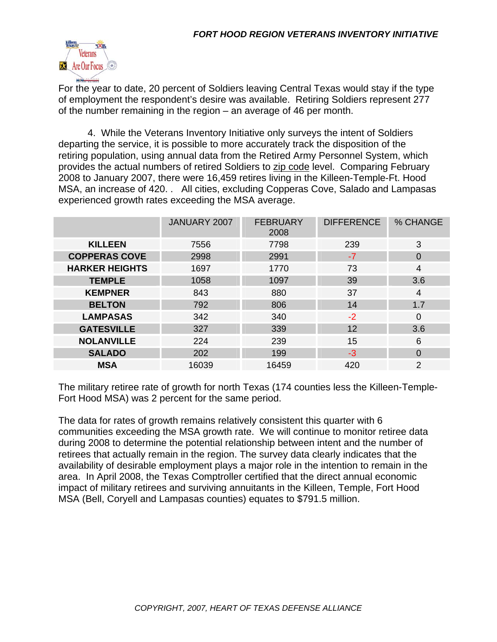

For the year to date, 20 percent of Soldiers leaving Central Texas would stay if the type of employment the respondent's desire was available. Retiring Soldiers represent 277 of the number remaining in the region – an average of 46 per month.

 4. While the Veterans Inventory Initiative only surveys the intent of Soldiers departing the service, it is possible to more accurately track the disposition of the retiring population, using annual data from the Retired Army Personnel System, which provides the actual numbers of retired Soldiers to zip code level. Comparing February 2008 to January 2007, there were 16,459 retires living in the Killeen-Temple-Ft. Hood MSA, an increase of 420. . All cities, excluding Copperas Cove, Salado and Lampasas experienced growth rates exceeding the MSA average.

|                       | JANUARY 2007 | <b>FEBRUARY</b><br>2008 | <b>DIFFERENCE</b> | % CHANGE |  |
|-----------------------|--------------|-------------------------|-------------------|----------|--|
| <b>KILLEEN</b>        | 7556         | 7798                    | 239               | 3        |  |
| <b>COPPERAS COVE</b>  | 2998         | 2991                    | $-7$              | $\Omega$ |  |
| <b>HARKER HEIGHTS</b> | 1697         | 1770                    | 73                | 4        |  |
| <b>TEMPLE</b>         | 1058         | 1097                    | 39                | 3.6      |  |
| <b>KEMPNER</b>        | 843          | 880                     | 37                | 4        |  |
| <b>BELTON</b>         | 792          | 806                     | 14                | 1.7      |  |
| <b>LAMPASAS</b>       | 342          | 340                     | $-2$              | $\Omega$ |  |
| <b>GATESVILLE</b>     | 327          | 339<br>12               |                   | 3.6      |  |
| <b>NOLANVILLE</b>     | 224          | 239                     | 15                | 6        |  |
| <b>SALADO</b>         | 202          | 199                     | $-3$              | 0        |  |
| <b>MSA</b>            | 16039        | 16459                   | 420               | 2        |  |

The military retiree rate of growth for north Texas (174 counties less the Killeen-Temple-Fort Hood MSA) was 2 percent for the same period.

The data for rates of growth remains relatively consistent this quarter with 6 communities exceeding the MSA growth rate. We will continue to monitor retiree data during 2008 to determine the potential relationship between intent and the number of retirees that actually remain in the region. The survey data clearly indicates that the availability of desirable employment plays a major role in the intention to remain in the area. In April 2008, the Texas Comptroller certified that the direct annual economic impact of military retirees and surviving annuitants in the Killeen, Temple, Fort Hood MSA (Bell, Coryell and Lampasas counties) equates to \$791.5 million.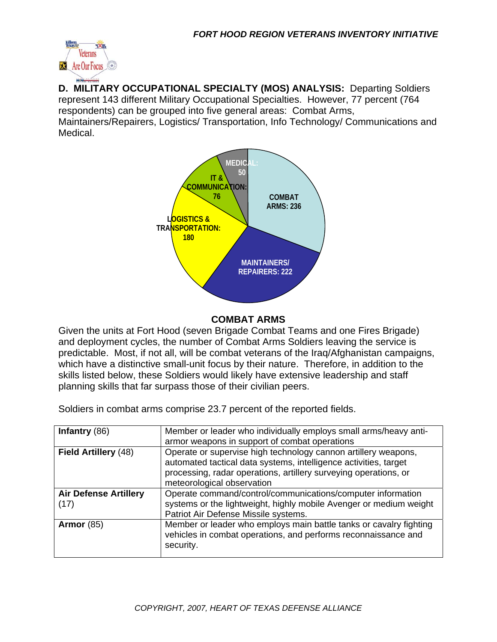

**D. MILITARY OCCUPATIONAL SPECIALTY (MOS) ANALYSIS:** Departing Soldiers represent 143 different Military Occupational Specialties. However, 77 percent (764 respondents) can be grouped into five general areas: Combat Arms,

Maintainers/Repairers, Logistics/ Transportation, Info Technology/ Communications and Medical.



#### **COMBAT ARMS**

Given the units at Fort Hood (seven Brigade Combat Teams and one Fires Brigade) and deployment cycles, the number of Combat Arms Soldiers leaving the service is predictable. Most, if not all, will be combat veterans of the Iraq/Afghanistan campaigns, which have a distinctive small-unit focus by their nature. Therefore, in addition to the skills listed below, these Soldiers would likely have extensive leadership and staff planning skills that far surpass those of their civilian peers.

Soldiers in combat arms comprise 23.7 percent of the reported fields.

| Infantry $(86)$              | Member or leader who individually employs small arms/heavy anti-   |
|------------------------------|--------------------------------------------------------------------|
|                              | armor weapons in support of combat operations                      |
| Field Artillery (48)         | Operate or supervise high technology cannon artillery weapons,     |
|                              | automated tactical data systems, intelligence activities, target   |
|                              | processing, radar operations, artillery surveying operations, or   |
|                              | meteorological observation                                         |
| <b>Air Defense Artillery</b> | Operate command/control/communications/computer information        |
| (17)                         | systems or the lightweight, highly mobile Avenger or medium weight |
|                              | Patriot Air Defense Missile systems.                               |
| Armor $(85)$                 | Member or leader who employs main battle tanks or cavalry fighting |
|                              | vehicles in combat operations, and performs reconnaissance and     |
|                              | security.                                                          |
|                              |                                                                    |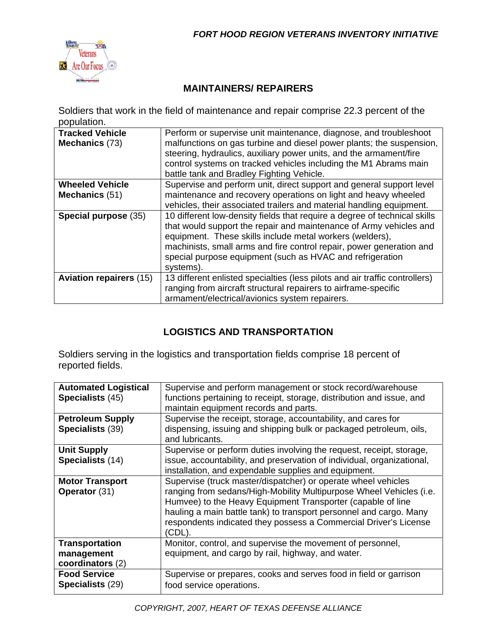

## **MAINTAINERS/ REPAIRERS**

Soldiers that work in the field of maintenance and repair comprise 22.3 percent of the population.

| <b>Tracked Vehicle</b><br>Mechanics (73) | Perform or supervise unit maintenance, diagnose, and troubleshoot<br>malfunctions on gas turbine and diesel power plants; the suspension,<br>steering, hydraulics, auxiliary power units, and the armament/fire<br>control systems on tracked vehicles including the M1 Abrams main<br>battle tank and Bradley Fighting Vehicle.                              |
|------------------------------------------|---------------------------------------------------------------------------------------------------------------------------------------------------------------------------------------------------------------------------------------------------------------------------------------------------------------------------------------------------------------|
| <b>Wheeled Vehicle</b>                   | Supervise and perform unit, direct support and general support level                                                                                                                                                                                                                                                                                          |
| Mechanics (51)                           | maintenance and recovery operations on light and heavy wheeled                                                                                                                                                                                                                                                                                                |
|                                          | vehicles, their associated trailers and material handling equipment.                                                                                                                                                                                                                                                                                          |
| Special purpose (35)                     | 10 different low-density fields that require a degree of technical skills<br>that would support the repair and maintenance of Army vehicles and<br>equipment. These skills include metal workers (welders),<br>machinists, small arms and fire control repair, power generation and<br>special purpose equipment (such as HVAC and refrigeration<br>systems). |
| <b>Aviation repairers (15)</b>           | 13 different enlisted specialties (less pilots and air traffic controllers)<br>ranging from aircraft structural repairers to airframe-specific<br>armament/electrical/avionics system repairers.                                                                                                                                                              |

# **LOGISTICS AND TRANSPORTATION**

Soldiers serving in the logistics and transportation fields comprise 18 percent of reported fields.

| <b>Automated Logistical</b><br>Specialists (45) | Supervise and perform management or stock record/warehouse<br>functions pertaining to receipt, storage, distribution and issue, and |
|-------------------------------------------------|-------------------------------------------------------------------------------------------------------------------------------------|
|                                                 | maintain equipment records and parts.                                                                                               |
| <b>Petroleum Supply</b>                         | Supervise the receipt, storage, accountability, and cares for                                                                       |
| Specialists (39)                                | dispensing, issuing and shipping bulk or packaged petroleum, oils,<br>and lubricants.                                               |
| <b>Unit Supply</b>                              | Supervise or perform duties involving the request, receipt, storage,                                                                |
| Specialists (14)                                | issue, accountability, and preservation of individual, organizational,                                                              |
|                                                 | installation, and expendable supplies and equipment.                                                                                |
| <b>Motor Transport</b>                          | Supervise (truck master/dispatcher) or operate wheel vehicles                                                                       |
| <b>Operator</b> (31)                            | ranging from sedans/High-Mobility Multipurpose Wheel Vehicles (i.e.                                                                 |
|                                                 | Humvee) to the Heavy Equipment Transporter (capable of line                                                                         |
|                                                 | hauling a main battle tank) to transport personnel and cargo. Many                                                                  |
|                                                 | respondents indicated they possess a Commercial Driver's License                                                                    |
|                                                 | (CDL).                                                                                                                              |
| <b>Transportation</b>                           | Monitor, control, and supervise the movement of personnel,                                                                          |
| management                                      | equipment, and cargo by rail, highway, and water.                                                                                   |
| coordinators (2)                                |                                                                                                                                     |
| <b>Food Service</b>                             | Supervise or prepares, cooks and serves food in field or garrison                                                                   |
| Specialists (29)                                | food service operations.                                                                                                            |
|                                                 |                                                                                                                                     |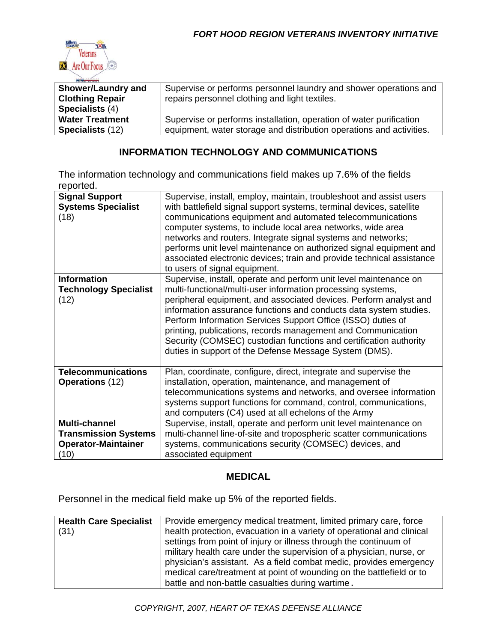

| <b>Shower/Laundry and</b><br><b>Clothing Repair</b><br>Specialists (4) | Supervise or performs personnel laundry and shower operations and<br>repairs personnel clothing and light textiles. |
|------------------------------------------------------------------------|---------------------------------------------------------------------------------------------------------------------|
| <b>Water Treatment</b>                                                 | Supervise or performs installation, operation of water purification                                                 |
| <b>Specialists (12)</b>                                                | equipment, water storage and distribution operations and activities.                                                |

#### **INFORMATION TECHNOLOGY AND COMMUNICATIONS**

The information technology and communications field makes up 7.6% of the fields reported.

| <b>Signal Support</b><br><b>Systems Specialist</b><br>(18)                         | Supervise, install, employ, maintain, troubleshoot and assist users<br>with battlefield signal support systems, terminal devices, satellite<br>communications equipment and automated telecommunications<br>computer systems, to include local area networks, wide area<br>networks and routers. Integrate signal systems and networks;<br>performs unit level maintenance on authorized signal equipment and<br>associated electronic devices; train and provide technical assistance<br>to users of signal equipment.                   |
|------------------------------------------------------------------------------------|-------------------------------------------------------------------------------------------------------------------------------------------------------------------------------------------------------------------------------------------------------------------------------------------------------------------------------------------------------------------------------------------------------------------------------------------------------------------------------------------------------------------------------------------|
| <b>Information</b><br><b>Technology Specialist</b><br>(12)                         | Supervise, install, operate and perform unit level maintenance on<br>multi-functional/multi-user information processing systems,<br>peripheral equipment, and associated devices. Perform analyst and<br>information assurance functions and conducts data system studies.<br>Perform Information Services Support Office (ISSO) duties of<br>printing, publications, records management and Communication<br>Security (COMSEC) custodian functions and certification authority<br>duties in support of the Defense Message System (DMS). |
| <b>Telecommunications</b><br><b>Operations (12)</b>                                | Plan, coordinate, configure, direct, integrate and supervise the<br>installation, operation, maintenance, and management of<br>telecommunications systems and networks, and oversee information<br>systems support functions for command, control, communications,<br>and computers (C4) used at all echelons of the Army                                                                                                                                                                                                                 |
| Multi-channel<br><b>Transmission Systems</b><br><b>Operator-Maintainer</b><br>(10) | Supervise, install, operate and perform unit level maintenance on<br>multi-channel line-of-site and tropospheric scatter communications<br>systems, communications security (COMSEC) devices, and<br>associated equipment                                                                                                                                                                                                                                                                                                                 |

#### **MEDICAL**

Personnel in the medical field make up 5% of the reported fields.

| <b>Health Care Specialist</b> | Provide emergency medical treatment, limited primary care, force       |  |
|-------------------------------|------------------------------------------------------------------------|--|
| (31)                          | health protection, evacuation in a variety of operational and clinical |  |
|                               | settings from point of injury or illness through the continuum of      |  |
|                               | military health care under the supervision of a physician, nurse, or   |  |
|                               | physician's assistant. As a field combat medic, provides emergency     |  |
|                               | medical care/treatment at point of wounding on the battlefield or to   |  |
|                               | battle and non-battle casualties during wartime.                       |  |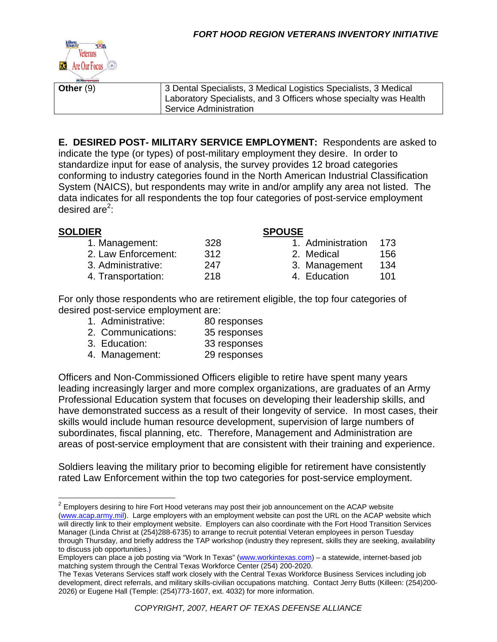

**Other** (9) **3 Dental Specialists, 3 Medical Logistics Specialists, 3 Medical** 

Laboratory Specialists, and 3 Officers whose specialty was Health Service Administration

**E. DESIRED POST- MILITARY SERVICE EMPLOYMENT:** Respondents are asked to indicate the type (or types) of post-military employment they desire. In order to standardize input for ease of analysis, the survey provides 12 broad categories conforming to industry categories found in the North American Industrial Classification System (NAICS), but respondents may write in and/or amplify any area not listed. The data indicates for all respondents the top four categories of post-service employment desired are<sup>2</sup>:

#### **SOLDIER SPOUSE**

| 1. Management:      | 3:          |
|---------------------|-------------|
| 2. Law Enforcement: | 31          |
| 3. Administrative:  | 24          |
| 4. Transportation:  | $2^{\cdot}$ |
|                     |             |

- 1. Management: 328 1. Administration 173
- 12 2. Medical 156
- 47 3. Management 134
- 18 4. Education 101

For only those respondents who are retirement eligible, the top four categories of desired post-service employment are:

- 1. Administrative: 80 responses
- 2. Communications: 35 responses
- 3. Education: 33 responses
- 4. Management: 29 responses

Officers and Non-Commissioned Officers eligible to retire have spent many years leading increasingly larger and more complex organizations, are graduates of an Army Professional Education system that focuses on developing their leadership skills, and have demonstrated success as a result of their longevity of service. In most cases, their skills would include human resource development, supervision of large numbers of subordinates, fiscal planning, etc. Therefore, Management and Administration are areas of post-service employment that are consistent with their training and experience.

Soldiers leaving the military prior to becoming eligible for retirement have consistently rated Law Enforcement within the top two categories for post-service employment.

 $2$  Employers desiring to hire Fort Hood veterans may post their job announcement on the ACAP website (www.acap.army.mil). Large employers with an employment website can post the URL on the ACAP website which will directly link to their employment website. Employers can also coordinate with the Fort Hood Transition Services Manager (Linda Christ at (254)288-6735) to arrange to recruit potential Veteran employees in person Tuesday through Thursday, and briefly address the TAP workshop (industry they represent, skills they are seeking, availability to discuss job opportunities.)

Employers can place a job posting via "Work In Texas" (www.workintexas.com) – a statewide, internet-based job matching system through the Central Texas Workforce Center (254) 200-2020.

The Texas Veterans Services staff work closely with the Central Texas Workforce Business Services including job development, direct referrals, and military skills-civilian occupations matching. Contact Jerry Butts (Killeen: (254)200- 2026) or Eugene Hall (Temple: (254)773-1607, ext. 4032) for more information.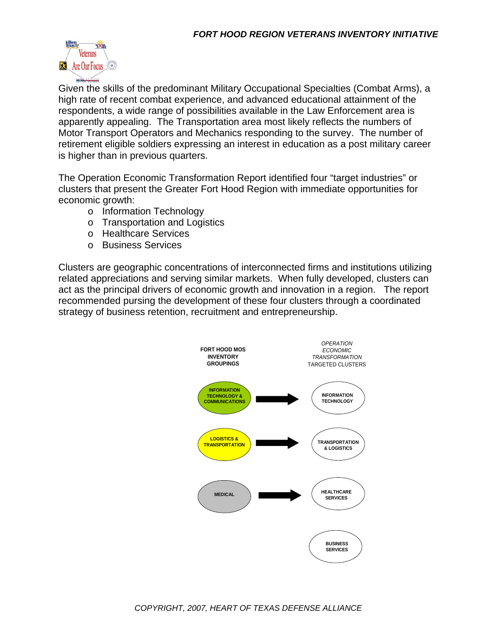

Given the skills of the predominant Military Occupational Specialties (Combat Arms), a high rate of recent combat experience, and advanced educational attainment of the respondents, a wide range of possibilities available in the Law Enforcement area is apparently appealing. The Transportation area most likely reflects the numbers of Motor Transport Operators and Mechanics responding to the survey. The number of retirement eligible soldiers expressing an interest in education as a post military career is higher than in previous quarters.

The Operation Economic Transformation Report identified four "target industries" or clusters that present the Greater Fort Hood Region with immediate opportunities for economic growth:

- o Information Technology
- o Transportation and Logistics
- o Healthcare Services
- o Business Services

Clusters are geographic concentrations of interconnected firms and institutions utilizing related appreciations and serving similar markets. When fully developed, clusters can act as the principal drivers of economic growth and innovation in a region. The report recommended pursing the development of these four clusters through a coordinated strategy of business retention, recruitment and entrepreneurship.

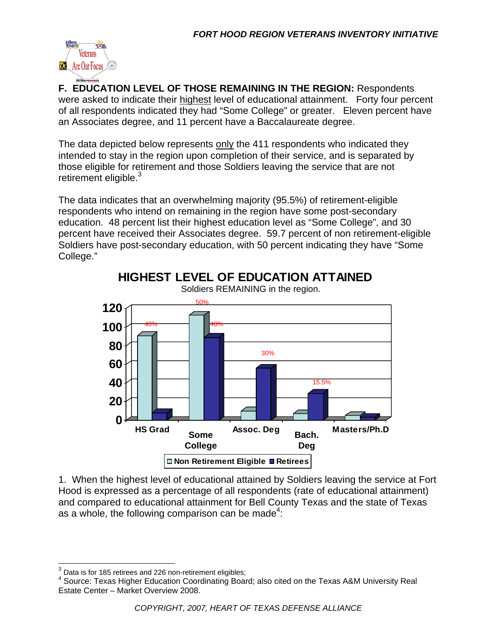

**F. EDUCATION LEVEL OF THOSE REMAINING IN THE REGION:** Respondents were asked to indicate their highest level of educational attainment. Forty four percent of all respondents indicated they had "Some College" or greater. Eleven percent have an Associates degree, and 11 percent have a Baccalaureate degree.

The data depicted below represents only the 411 respondents who indicated they intended to stay in the region upon completion of their service, and is separated by those eligible for retirement and those Soldiers leaving the service that are not retirement eligible.<sup>3</sup>

The data indicates that an overwhelming majority (95.5%) of retirement-eligible respondents who intend on remaining in the region have some post-secondary education. 48 percent list their highest education level as "Some College", and 30 percent have received their Associates degree. 59.7 percent of non retirement-eligible Soldiers have post-secondary education, with 50 percent indicating they have "Some College."



1. When the highest level of educational attained by Soldiers leaving the service at Fort Hood is expressed as a percentage of all respondents (rate of educational attainment) and compared to educational attainment for Bell County Texas and the state of Texas as a whole, the following comparison can be made<sup>4</sup>:

 $3$  Data is for 185 retirees and 226 non-retirement eligibles;

<sup>&</sup>lt;sup>4</sup> Source: Texas Higher Education Coordinating Board; also cited on the Texas A&M University Real Estate Center – Market Overview 2008.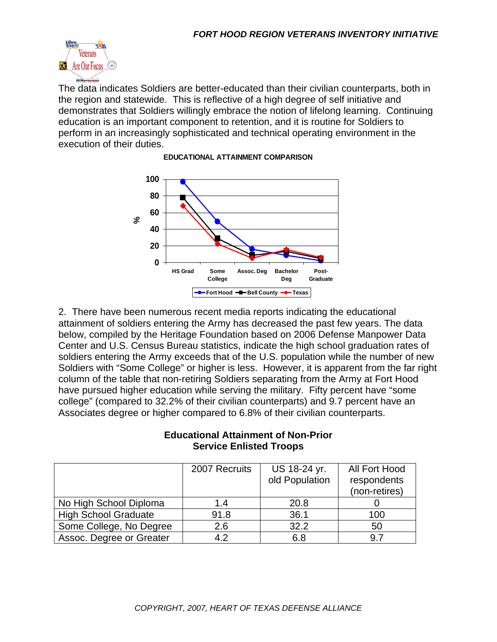

The data indicates Soldiers are better-educated than their civilian counterparts, both in the region and statewide. This is reflective of a high degree of self initiative and demonstrates that Soldiers willingly embrace the notion of lifelong learning. Continuing education is an important component to retention, and it is routine for Soldiers to perform in an increasingly sophisticated and technical operating environment in the execution of their duties.



#### **EDUCATIONAL ATTAINMENT COMPARISON**

2. There have been numerous recent media reports indicating the educational attainment of soldiers entering the Army has decreased the past few years. The data below, compiled by the Heritage Foundation based on 2006 Defense Manpower Data Center and U.S. Census Bureau statistics, indicate the high school graduation rates of soldiers entering the Army exceeds that of the U.S. population while the number of new Soldiers with "Some College" or higher is less. However, it is apparent from the far right column of the table that non-retiring Soldiers separating from the Army at Fort Hood have pursued higher education while serving the military. Fifty percent have "some college" (compared to 32.2% of their civilian counterparts) and 9.7 percent have an Associates degree or higher compared to 6.8% of their civilian counterparts.

#### **Educational Attainment of Non-Prior Service Enlisted Troops**

|                             | 2007 Recruits | US 18-24 yr.   | All Fort Hood |
|-----------------------------|---------------|----------------|---------------|
|                             |               | old Population | respondents   |
|                             |               |                | (non-retires) |
| No High School Diploma      | 1.4           | 20.8           |               |
| <b>High School Graduate</b> | 91.8          | 36.1           | 100           |
| Some College, No Degree     | 2.6           | 32.2           | 50            |
| Assoc. Degree or Greater    | 4.2           | 6.8            | 9.7           |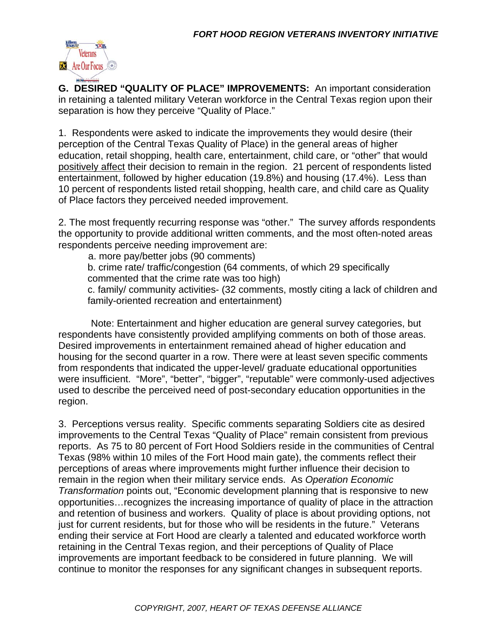

**G. DESIRED "QUALITY OF PLACE" IMPROVEMENTS:** An important consideration in retaining a talented military Veteran workforce in the Central Texas region upon their separation is how they perceive "Quality of Place."

1. Respondents were asked to indicate the improvements they would desire (their perception of the Central Texas Quality of Place) in the general areas of higher education, retail shopping, health care, entertainment, child care, or "other" that would positively affect their decision to remain in the region. 21 percent of respondents listed entertainment, followed by higher education (19.8%) and housing (17.4%). Less than 10 percent of respondents listed retail shopping, health care, and child care as Quality of Place factors they perceived needed improvement.

2. The most frequently recurring response was "other." The survey affords respondents the opportunity to provide additional written comments, and the most often-noted areas respondents perceive needing improvement are:

a. more pay/better jobs (90 comments)

b. crime rate/ traffic/congestion (64 comments, of which 29 specifically

commented that the crime rate was too high)

c. family/ community activities- (32 comments, mostly citing a lack of children and family-oriented recreation and entertainment)

 Note: Entertainment and higher education are general survey categories, but respondents have consistently provided amplifying comments on both of those areas. Desired improvements in entertainment remained ahead of higher education and housing for the second quarter in a row. There were at least seven specific comments from respondents that indicated the upper-level/ graduate educational opportunities were insufficient. "More", "better", "bigger", "reputable" were commonly-used adjectives used to describe the perceived need of post-secondary education opportunities in the region.

3. Perceptions versus reality. Specific comments separating Soldiers cite as desired improvements to the Central Texas "Quality of Place" remain consistent from previous reports. As 75 to 80 percent of Fort Hood Soldiers reside in the communities of Central Texas (98% within 10 miles of the Fort Hood main gate), the comments reflect their perceptions of areas where improvements might further influence their decision to remain in the region when their military service ends. As *Operation Economic Transformation* points out, "Economic development planning that is responsive to new opportunities…recognizes the increasing importance of quality of place in the attraction and retention of business and workers. Quality of place is about providing options, not just for current residents, but for those who will be residents in the future." Veterans ending their service at Fort Hood are clearly a talented and educated workforce worth retaining in the Central Texas region, and their perceptions of Quality of Place improvements are important feedback to be considered in future planning. We will continue to monitor the responses for any significant changes in subsequent reports.